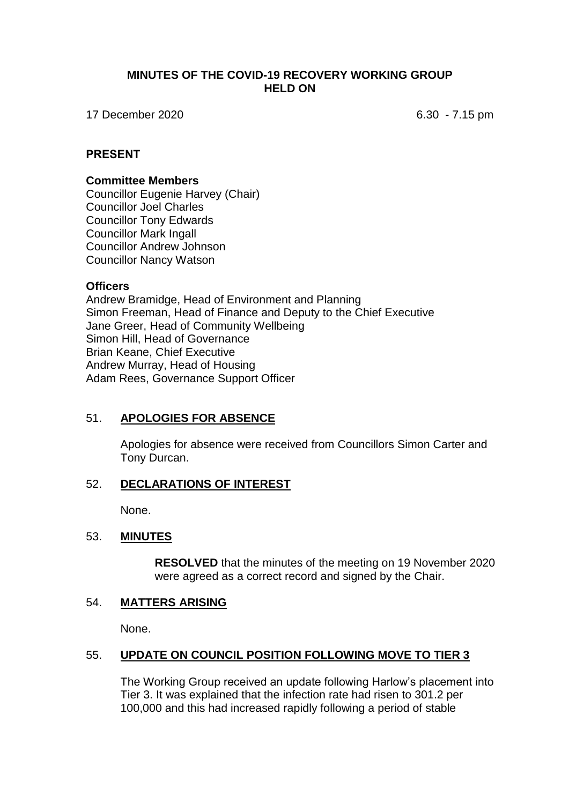### **MINUTES OF THE COVID-19 RECOVERY WORKING GROUP HELD ON**

17 December 2020 6.30 - 7.15 pm

## **PRESENT**

#### **Committee Members**

Councillor Eugenie Harvey (Chair) Councillor Joel Charles Councillor Tony Edwards Councillor Mark Ingall Councillor Andrew Johnson Councillor Nancy Watson

#### **Officers**

Andrew Bramidge, Head of Environment and Planning Simon Freeman, Head of Finance and Deputy to the Chief Executive Jane Greer, Head of Community Wellbeing Simon Hill, Head of Governance Brian Keane, Chief Executive Andrew Murray, Head of Housing Adam Rees, Governance Support Officer

# 51. **APOLOGIES FOR ABSENCE**

Apologies for absence were received from Councillors Simon Carter and Tony Durcan.

#### 52. **DECLARATIONS OF INTEREST**

None.

#### 53. **MINUTES**

**RESOLVED** that the minutes of the meeting on 19 November 2020 were agreed as a correct record and signed by the Chair.

### 54. **MATTERS ARISING**

None.

# 55. **UPDATE ON COUNCIL POSITION FOLLOWING MOVE TO TIER 3**

The Working Group received an update following Harlow's placement into Tier 3. It was explained that the infection rate had risen to 301.2 per 100,000 and this had increased rapidly following a period of stable